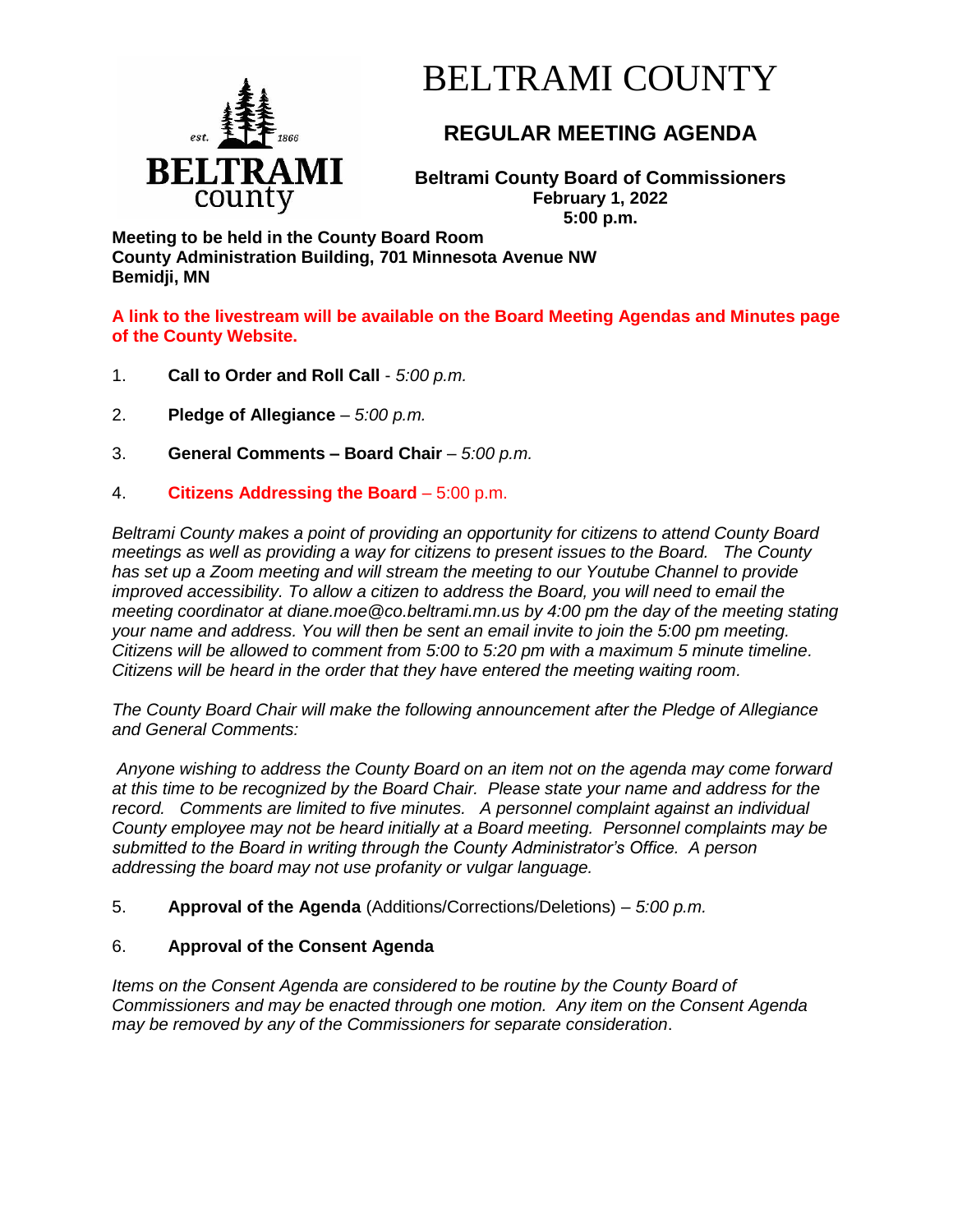

# BELTRAMI COUNTY

## **REGULAR MEETING AGENDA**

**Beltrami County Board of Commissioners February 1, 2022 5:00 p.m.**

**Meeting to be held in the County Board Room County Administration Building, 701 Minnesota Avenue NW Bemidji, MN**

**A link to the livestream will be available on the Board Meeting Agendas and Minutes page of the County Website.**

- 1. **Call to Order and Roll Call** *5:00 p.m.*
- 2. **Pledge of Allegiance**  *5:00 p.m.*
- 3. **General Comments – Board Chair** *5:00 p.m.*
- 4. **Citizens Addressing the Board**  5:00 p.m.

*Beltrami County makes a point of providing an opportunity for citizens to attend County Board meetings as well as providing a way for citizens to present issues to the Board. The County has set up a Zoom meeting and will stream the meeting to our Youtube Channel to provide improved accessibility. To allow a citizen to address the Board, you will need to email the meeting coordinator at diane.moe@co.beltrami.mn.us by 4:00 pm the day of the meeting stating your name and address. You will then be sent an email invite to join the 5:00 pm meeting. Citizens will be allowed to comment from 5:00 to 5:20 pm with a maximum 5 minute timeline. Citizens will be heard in the order that they have entered the meeting waiting room.* 

*The County Board Chair will make the following announcement after the Pledge of Allegiance and General Comments:*

*Anyone wishing to address the County Board on an item not on the agenda may come forward at this time to be recognized by the Board Chair. Please state your name and address for the record. Comments are limited to five minutes. A personnel complaint against an individual County employee may not be heard initially at a Board meeting. Personnel complaints may be submitted to the Board in writing through the County Administrator's Office. A person addressing the board may not use profanity or vulgar language.*

5. **Approval of the Agenda** (Additions/Corrections/Deletions) – *5:00 p.m.*

### 6. **Approval of the Consent Agenda**

*Items on the Consent Agenda are considered to be routine by the County Board of Commissioners and may be enacted through one motion. Any item on the Consent Agenda may be removed by any of the Commissioners for separate consideration*.